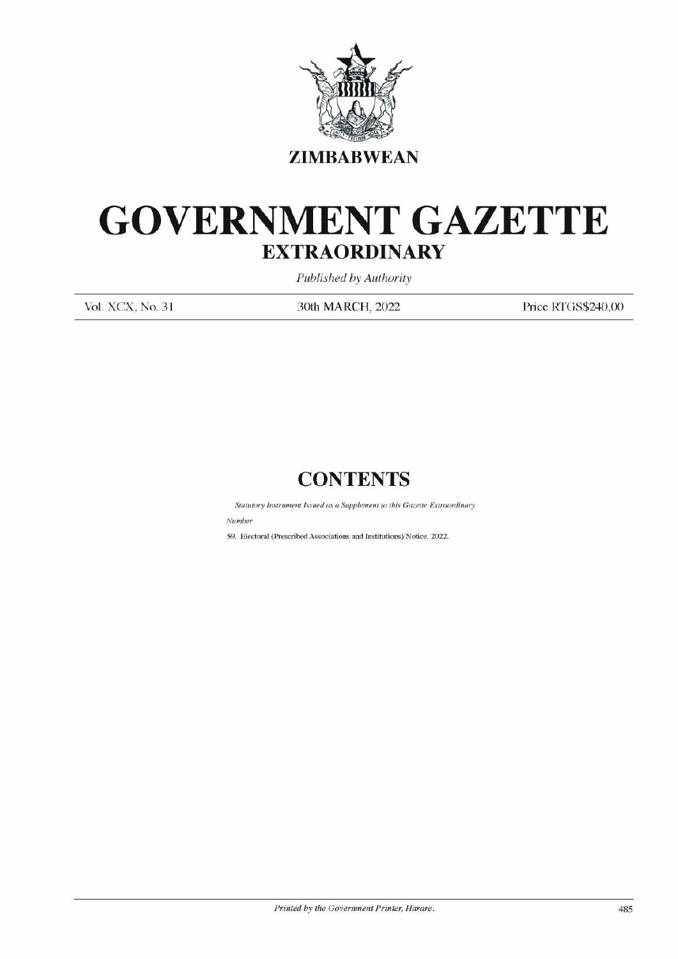

### GOVERNMENT GAZETTE EXTRAORDINARY EXTRAOR EXTRAOR EXTRAOR SOLUTE EXTRAOR Published to Find South MARINE

Published by Authority

Vol. XCX, No. 31 30th MARCH, 2022 Price RTGS\$240,00

### **CONTENTS**

Statutory Instrument Issued as a Supplement to this Gazette Extraordinary Number Sountary Instrument Issued as a Sup<br>
Number<br>
So. Electoral (Prescribed Associations :

59. Electoral (Prescribed Associations and Institutions) Notice, 2022.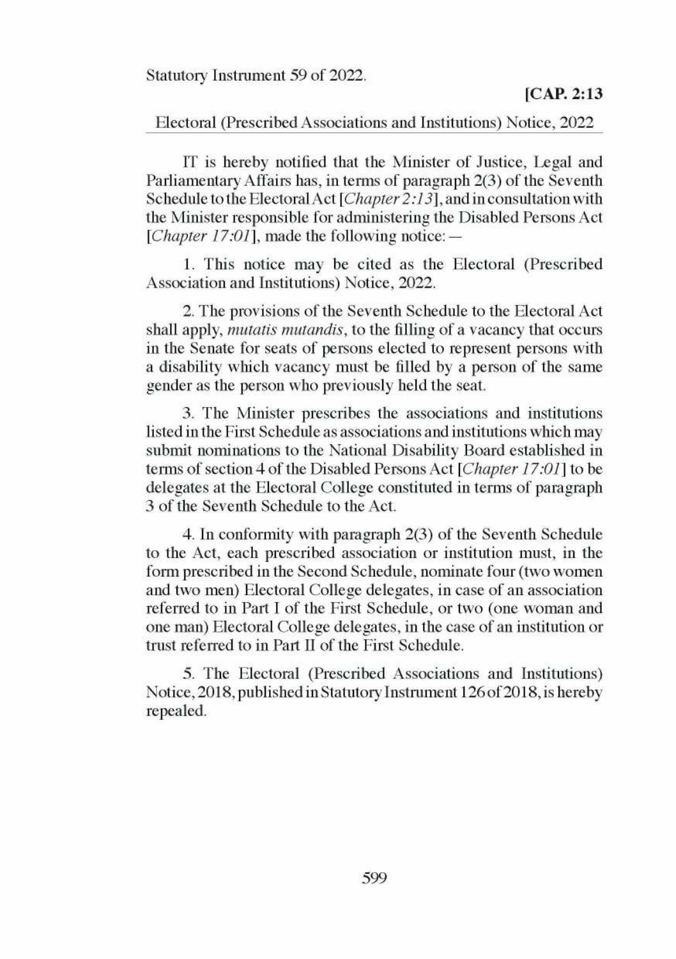### Statutory Instrument 59 of 2022.

# Electoral (Prescribed Associations and Institutions) Notice, 2022

IT is hereby notified that the Minister of Justice, Legal and Parliamentary Affairs has, in terms of paragraph 2(3) of the Seventh Schedule to the Electoral Act [Chapter 2:13], and in consultation with the Minister responsible for administering the Disabled Persons Act [*Chapter 17:01*], made the following notice: —

1. This notice may be cited as the Electoral (Prescribed Association and Institutions) Notice, 2022.

2. The provisions of the Seventh Schedule to the Electoral Act shall apply, *mutatis mutandis*, to the filling of a vacancy that occurs in the Senate for seats of persons elected to represent persons with a disability which vacancy must be filled by a person of the same gender as the person who previously held the seat.

3. The Minister prescribes the associations and institutions listed in the First Schedule as associations and institutions which may submit nominations to the National Disability Board established in terms of section 4 of the Disabled Persons Act [Chapter 17:01] to be delegates at the Electoral College constituted in terms of paragraph 3 of the Seventh Schedule to the Act.

4. In conformity with paragraph 2(3) of the Seventh Schedule to the Act, each prescribed association or institution must, in the form prescribed in the Second Schedule, nominate four (two women and two men) Electoral College delegates, in case of an association referred to in Part I of the First Schedule, or two (one woman and one man) Electoral College dele gates, in the case of an institution or trust referred to in Part II of the First Schedule.

5. The Electoral (Prescribed Associations and Institutions) Notice, 2018, published in Statutory Instrument 126 of 2018, is hereby repealed.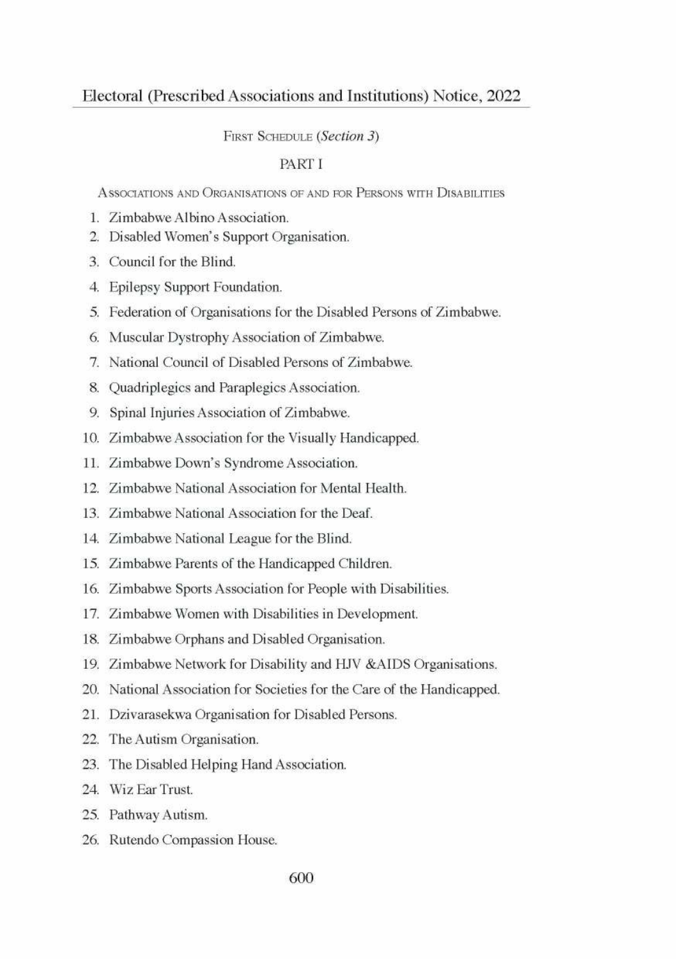### FIRST SCHEDULE (Section 3)

### **PARTI**

ASSOCIATIONS AND ORGANISATIONS OF AND FOR PERSONS WITH DISARILITIES

- 1. Zimbabwe Albino Association.
- 2. Disabled Women's Support Organisation.
- 3 Council for the Blind
- 4. Epilepsy Support Foundation.
- 5. Federation of Organisations for the Disabled Persons of Zimbabwe.
- 6. Muscular Dystrophy Association of Zimbabwe.
- 7. National Council of Disabled Persons of Zimbabwe.
- 8. Quadriplegics and Paraplegics Association.
- 9. Spinal Injuries Association of Zimbabwe.
- 10. Zimbabwe Association for the Visually Handicapped.
- 11. Zimbabwe Down's Syndrome Association.
- 12. Zimbabwe National Association for Mental Health.
- 13. Zimbabwe National Association for the Deaf.
- 14. Zimbabwe National League for the Blind.
- 15. Zimbabwe Parents of the Handicapped Children.
- 16. Zimbabwe Sports Association for People with Disabilities.
- 17. Zimbabwe Women with Disabilities in Development.
- 18. Zimbabwe Orphans and Disabled Organisation.
- 19. Zimbabwe Network for Disability and HJV & AIDS Organisations.
- 20. National Association for Societies for the Care of the Handicapped.
- 21. Dzivarasekwa Organisation for Disabled Persons.
- 22. The Autism Organisation.
- 23. The Disabled Helping Hand Association.
- 24 Wiz Far Trust
- 25. Pathway Autism.
- 26. Rutendo Compassion House.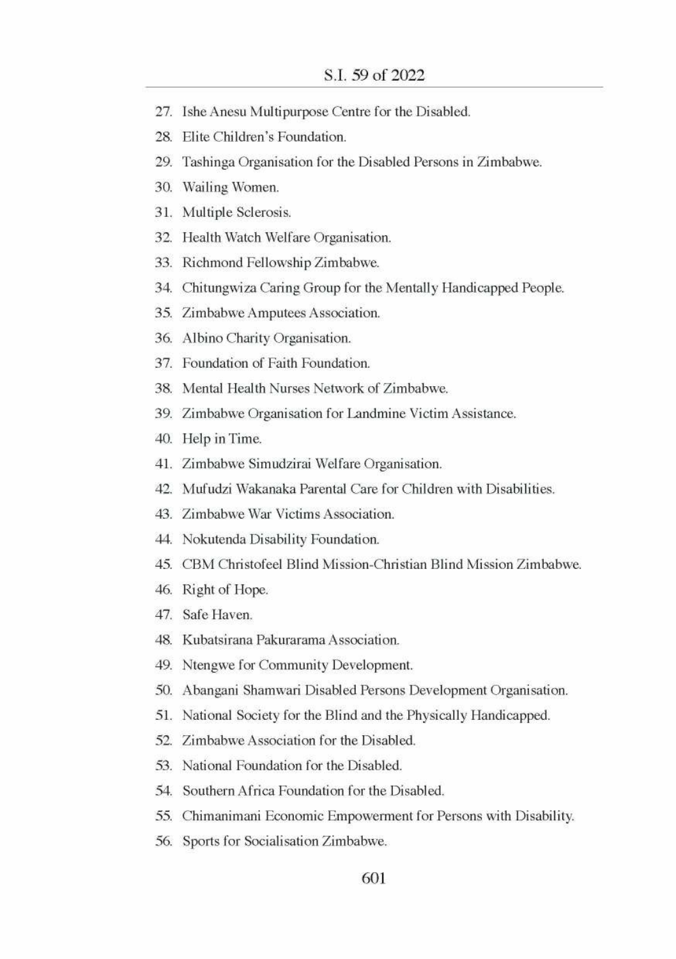- 27. Ishe Anesu Multipurpose Centre for the Disabled.
- 28. Elite Children's Foundation.
- 29. Tashinga Organisation for the Disabled Persons in Zimbabwe.
- 30. Wailing Women.
- 31. Multiple Sclerosis.
- 32. Health Watch Welfare Organisation.
- 33. Richmond Fellowship Zimbabwe.
- 34. Chitungwiza Caring Group for the Mentally Handicapped People.
- 35. Zimbabwe Amputees Association.
- 36. Albino Charity Organisation.
- 37. Foundation of Faith Foundation.
- 38. Mental Health Nurses Network of Zimbabwe.
- 39. Zimbabwe Organisation for Landmine Victim Assistance.
- 40. Help in Time.
- Al. Zimbabwe Simudzirai Welfare Organisation.
- 42. Mufudzi Wakanaka Parental Care for Children with Disabilities.
- 43. Zimbabwe War Victims Association.
- 44. Nokutenda Disability Foundation.
- 45. CBM Christofeel Blind Mission-Christian Blind Mission Zimbabwe.
- 46. Right of Hope.
- 47. Safe Haven.
- 48. Kubatsirana Pakurarama Association.
- 49. Ntengwe for Community Development.
- 50. Abangani Shamwari Disabled Persons Development Organisation.
- 51. National Society for the Blind and the Physically Handicapped.
- 52. Zimbabwe Association for the Disabled.
- 53. National Foundation for the Disabled.
- 54. Southern Africa Foundation for the Disabled.
- 55: Chimanimani Economic Empowerment for Persons with Disability.
- 56. Sports for Socialisation Zimbabwe.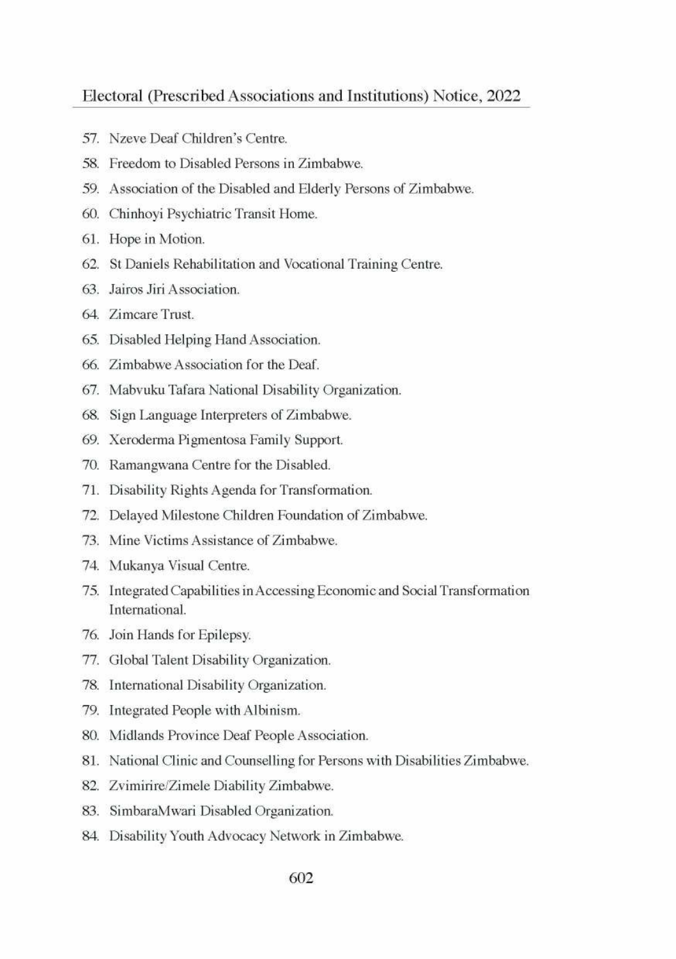- 57. Nzeve Deaf Children's Centre.
- 58. Freedom to Disabled Persons in Zimbabwe.
- 59. Association of the Disabled and Elderly Persons of Zimbabwe.
- 60. Chinhoyi Psychiatric Transit Home.
- 61. Hope in Motion.
- 62. St Daniels Rehabilitation and Vocational Training Centre.
- 63. Jairos Jiri Association.
- 64. Zimeare Trust.
- 65. Disabled Helping Hand Association.
- 66. Zimbabwe Association for the Deaf.
- 67. Mabvuku Tafara National Disability Organization.
- 68. Sign Language Interpreters of Zimbabwe.
- 69. Xeroderma Pigmentosa Family Support.
- 70. Ramangwana Centre for the Disabled.
- 71. Disability Rights Agenda for Transformation.
- 72. Delayed Milestone Children Foundation of Zimbabwe.
- 73. Mine Victims Assistance of Zimbabwe.
- TA. Mukanya Visual Centre.
- 75. Integrated Capabilities in Accessing Economic and Social Transformation International.
- 76. Join Hands for Epilepsy.
- 77. Global Talent Disability Organization.
- 78. International Disability Organization.
- 79. Integrated People with Albinism.
- 80. Midlands Province Deaf People Association.
- 81. National Clinic and Counselling for Persons with Disabilities Zimbabwe.
- 82. Zvimirire/Zimele Diability Zimbabwe.
- 83. SimbaraMwari Disabled Organization.
- 84. Disability Youth Advocacy Network in Zimbabwe.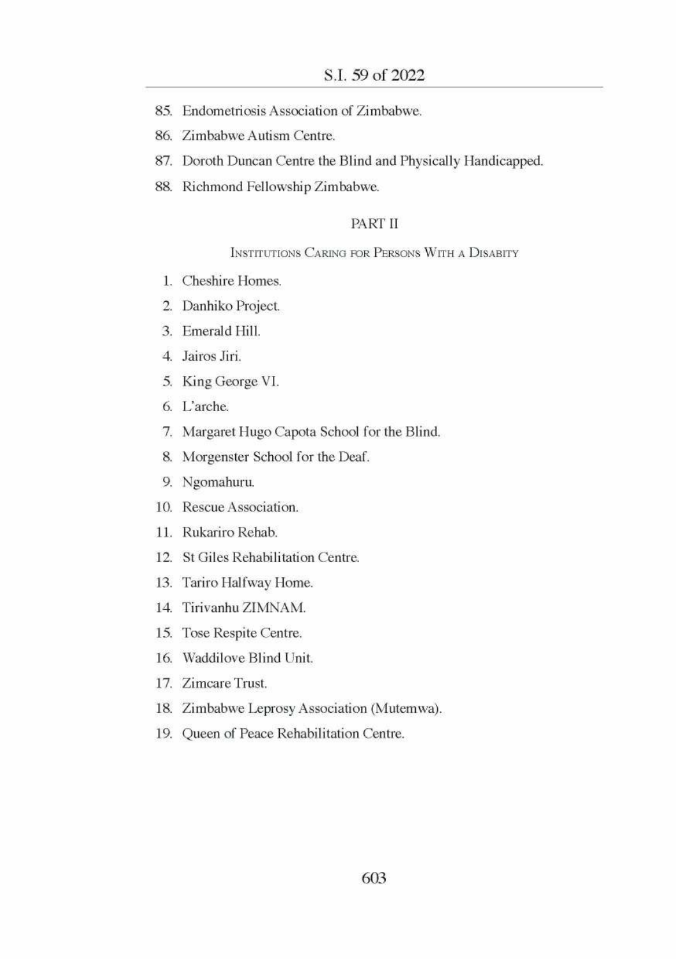- 85. Endometriosis Association of Zimbabwe.
- 86. Zimbabwe Autism Centre.
- 87. Doroth Duncan Centre the Blind and Physically Handicapped.
- 88. Richmond Fellowship Zimbabwe.

### PART II

### INSTITUTIONS CARING FOR PERSONS WITH A DISABITY

- 1. Cheshire Homes.
- 2. Danhiko Project.
- 3. Emerald Hill.
- 4. Jairos Jiri.
- 5. King George VI.
- 6. L'arche.
- 7. Margaret Hugo Capota School for the Blind.
- 8. Morgenster School for the Deaf.
- 9. Ngomahuru.
- 10. Rescue Association.
- 11. Rukariro Rehab.
- 12. St Giles Rehabilitation Centre.
- 13. Tariro Halfway Home.
- 14. Tiriyanhu ZIMNAM.
- 15. Tose Respite Centre.
- 16. Waddilove Blind Unit.
- 17. Zimcare Trust.
- 18. Zimbabwe Leprosy Association (Mutemwa).
- 19. Queen of Peace Rehabilitation Centre.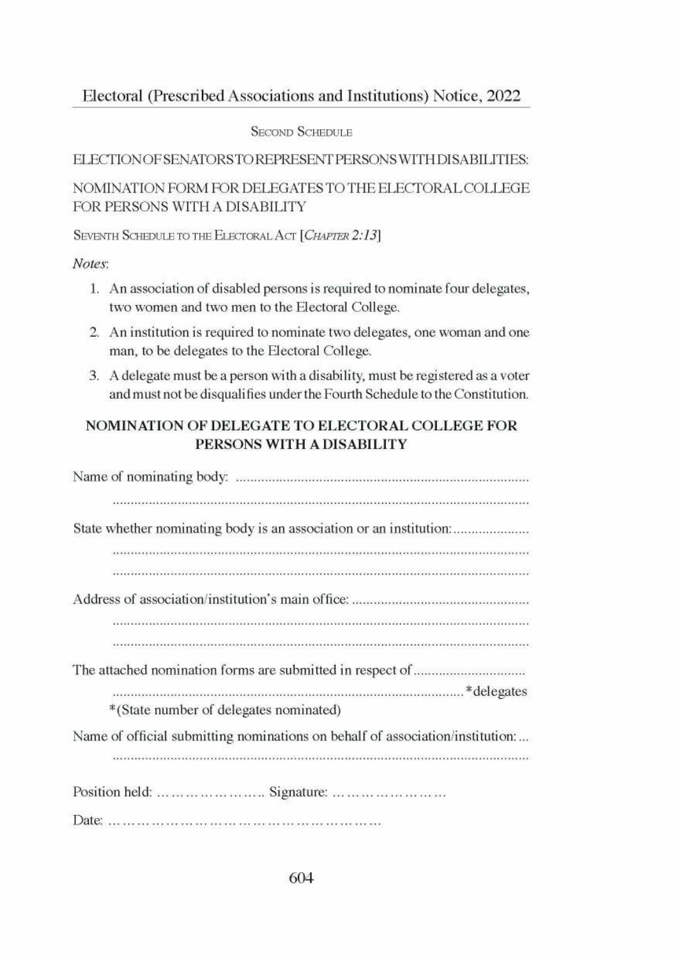### **SECOND SCHEDULE**

### ELECTIONOFSENATORSTOREPRESENT PERSONS WITH DISABILITIES:

### NOMINATION FORM FOR DELEGATES TO THE ELECTORAL COLLEGE FOR PERSONS WITH A DISABILITY

### SEVENTH SCHEDULE TO THE ELECTORAL ACT [CHAPTER 2:13]

### Notes:

- 1. An association of disabled persons is required to nominate four delegates, two women and two men to the Electoral College.
- 2. An institution is required to nominate two delegates, one woman and one man, to be delegates to the Electoral College.
- 3. A delegate must be a person with a disability, must be registered as a voter and must not be disqualifies under the Fourth Schedule to the Constitution.

### NOMINATION OF DELEGATE TO ELECTORAL COLLEGE FOR PERSONS WITH A DISABILITY

| State whether nominating body is an association or an institution:            |
|-------------------------------------------------------------------------------|
|                                                                               |
|                                                                               |
|                                                                               |
|                                                                               |
|                                                                               |
|                                                                               |
|                                                                               |
| *(State number of delegates nominated)                                        |
| Name of official submitting nominations on behalf of association/institution: |
|                                                                               |
| Position held:       Signature:                                               |
|                                                                               |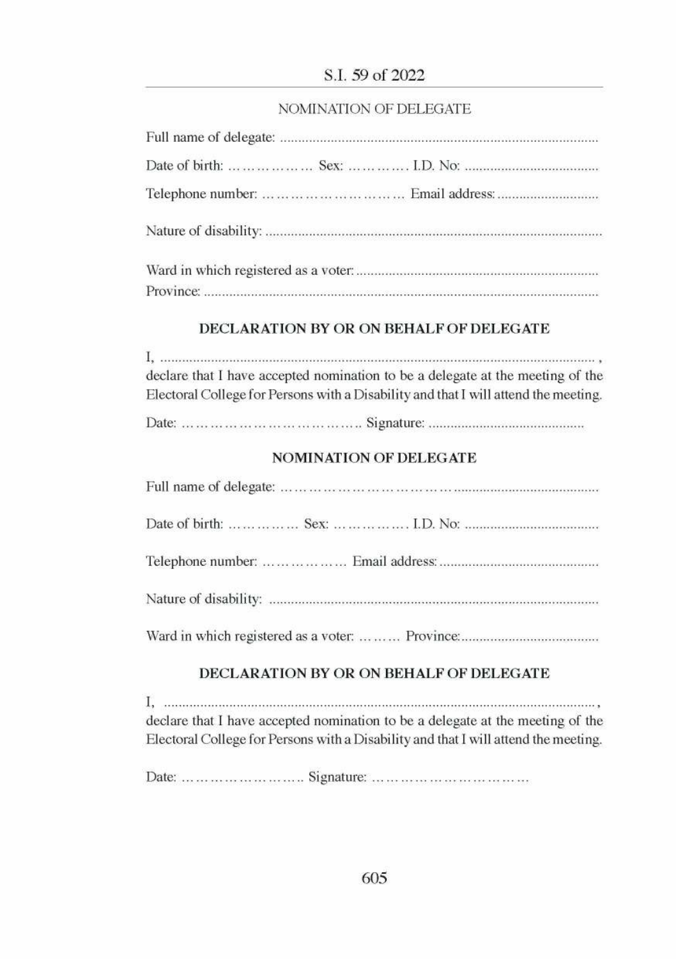### S.I. 59 of 2022

### NOMINATION OF DELEGATE

| Telephone number:          Email address: |  |
|-------------------------------------------|--|
|                                           |  |
|                                           |  |
|                                           |  |

### DECLARATION BY OR ON BEHALF OF DELEGATE

| $\Gamma$ , accommodation construction of the continuum contraction of the continuum continuum continuum $\overline{\overline{z}}$ , |
|-------------------------------------------------------------------------------------------------------------------------------------|
| declare that I have accepted nomination to be a delegate at the meeting of the                                                      |
| Electoral College for Persons with a Disability and that I will attend the meeting.                                                 |
|                                                                                                                                     |

### **NOMINATION OF DELEGATE**

### DECLARATION BY OR ON BEHALF OF DELEGATE

declare that I have accepted nomination to be a delegate at the meeting of the Electoral College for Persons with a Disability and that I will attend the meeting.